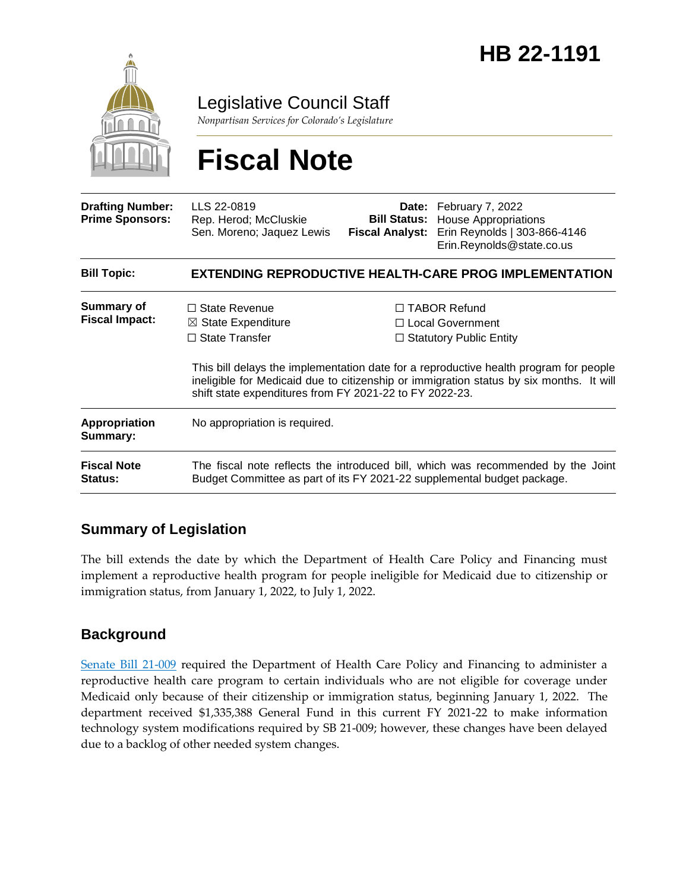

Legislative Council Staff

*Nonpartisan Services for Colorado's Legislature*

# **Fiscal Note**

| <b>Drafting Number:</b><br><b>Prime Sponsors:</b> | LLS 22-0819<br>Rep. Herod; McCluskie<br>Sen. Moreno; Jaquez Lewis                                                                                                                                                                           | <b>Bill Status:</b><br><b>Fiscal Analyst:</b> | Date: February 7, 2022<br><b>House Appropriations</b><br>Erin Reynolds   303-866-4146<br>Erin.Reynolds@state.co.us |
|---------------------------------------------------|---------------------------------------------------------------------------------------------------------------------------------------------------------------------------------------------------------------------------------------------|-----------------------------------------------|--------------------------------------------------------------------------------------------------------------------|
| <b>Bill Topic:</b>                                | <b>EXTENDING REPRODUCTIVE HEALTH-CARE PROG IMPLEMENTATION</b>                                                                                                                                                                               |                                               |                                                                                                                    |
| <b>Summary of</b><br><b>Fiscal Impact:</b>        | $\Box$ State Revenue<br>$\boxtimes$ State Expenditure<br>$\Box$ State Transfer                                                                                                                                                              |                                               | $\Box$ TABOR Refund<br>$\Box$ Local Government<br>$\Box$ Statutory Public Entity                                   |
|                                                   | This bill delays the implementation date for a reproductive health program for people<br>ineligible for Medicaid due to citizenship or immigration status by six months. It will<br>shift state expenditures from FY 2021-22 to FY 2022-23. |                                               |                                                                                                                    |
| Appropriation<br>Summary:                         | No appropriation is required.                                                                                                                                                                                                               |                                               |                                                                                                                    |
| <b>Fiscal Note</b><br>Status:                     | The fiscal note reflects the introduced bill, which was recommended by the Joint<br>Budget Committee as part of its FY 2021-22 supplemental budget package.                                                                                 |                                               |                                                                                                                    |

## **Summary of Legislation**

The bill extends the date by which the Department of Health Care Policy and Financing must implement a reproductive health program for people ineligible for Medicaid due to citizenship or immigration status, from January 1, 2022, to July 1, 2022.

## **Background**

[Senate Bill 21-009](https://leg.colorado.gov/bills/sb21-009) required the Department of Health Care Policy and Financing to administer a reproductive health care program to certain individuals who are not eligible for coverage under Medicaid only because of their citizenship or immigration status, beginning January 1, 2022. The department received \$1,335,388 General Fund in this current FY 2021-22 to make information technology system modifications required by SB 21-009; however, these changes have been delayed due to a backlog of other needed system changes.